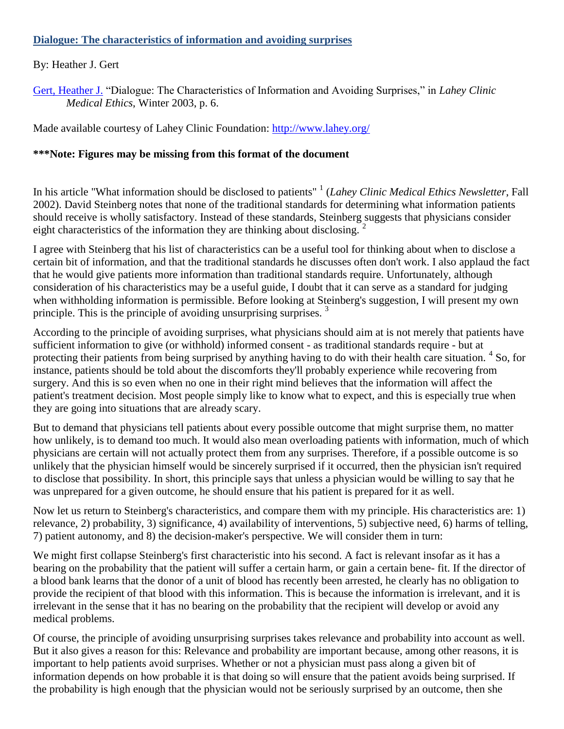#### **Dialogue: The characteristics of information and avoiding surprises**

### By: Heather J. Gert

[Gert, Heather J.](http://libres.uncg.edu/ir/uncg/clist.aspx?id=566) "Dialogue: The Characteristics of Information and Avoiding Surprises," in *Lahey Clinic Medical Ethics*, Winter 2003, p. 6.

Made available courtesy of Lahey Clinic Foundation:<http://www.lahey.org/>

#### **\*\*\*Note: Figures may be missing from this format of the document**

In his article "What information should be disclosed to patients" <sup>1</sup> (*Lahey Clinic Medical Ethics Newsletter*, Fall 2002). David Steinberg notes that none of the traditional standards for determining what information patients should receive is wholly satisfactory. Instead of these standards, Steinberg suggests that physicians consider eight characteristics of the information they are thinking about disclosing.<sup>2</sup>

I agree with Steinberg that his list of characteristics can be a useful tool for thinking about when to disclose a certain bit of information, and that the traditional standards he discusses often don't work. I also applaud the fact that he would give patients more information than traditional standards require. Unfortunately, although consideration of his characteristics may be a useful guide, I doubt that it can serve as a standard for judging when withholding information is permissible. Before looking at Steinberg's suggestion, I will present my own principle. This is the principle of avoiding unsurprising surprises. <sup>3</sup>

According to the principle of avoiding surprises, what physicians should aim at is not merely that patients have sufficient information to give (or withhold) informed consent - as traditional standards require - but at protecting their patients from being surprised by anything having to do with their health care situation.<sup>4</sup> So, for instance, patients should be told about the discomforts they'll probably experience while recovering from surgery. And this is so even when no one in their right mind believes that the information will affect the patient's treatment decision. Most people simply like to know what to expect, and this is especially true when they are going into situations that are already scary.

But to demand that physicians tell patients about every possible outcome that might surprise them, no matter how unlikely, is to demand too much. It would also mean overloading patients with information, much of which physicians are certain will not actually protect them from any surprises. Therefore, if a possible outcome is so unlikely that the physician himself would be sincerely surprised if it occurred, then the physician isn't required to disclose that possibility. In short, this principle says that unless a physician would be willing to say that he was unprepared for a given outcome, he should ensure that his patient is prepared for it as well.

Now let us return to Steinberg's characteristics, and compare them with my principle. His characteristics are: 1) relevance, 2) probability, 3) significance, 4) availability of interventions, 5) subjective need, 6) harms of telling, 7) patient autonomy, and 8) the decision-maker's perspective. We will consider them in turn:

We might first collapse Steinberg's first characteristic into his second. A fact is relevant insofar as it has a bearing on the probability that the patient will suffer a certain harm, or gain a certain bene- fit. If the director of a blood bank learns that the donor of a unit of blood has recently been arrested, he clearly has no obligation to provide the recipient of that blood with this information. This is because the information is irrelevant, and it is irrelevant in the sense that it has no bearing on the probability that the recipient will develop or avoid any medical problems.

Of course, the principle of avoiding unsurprising surprises takes relevance and probability into account as well. But it also gives a reason for this: Relevance and probability are important because, among other reasons, it is important to help patients avoid surprises. Whether or not a physician must pass along a given bit of information depends on how probable it is that doing so will ensure that the patient avoids being surprised. If the probability is high enough that the physician would not be seriously surprised by an outcome, then she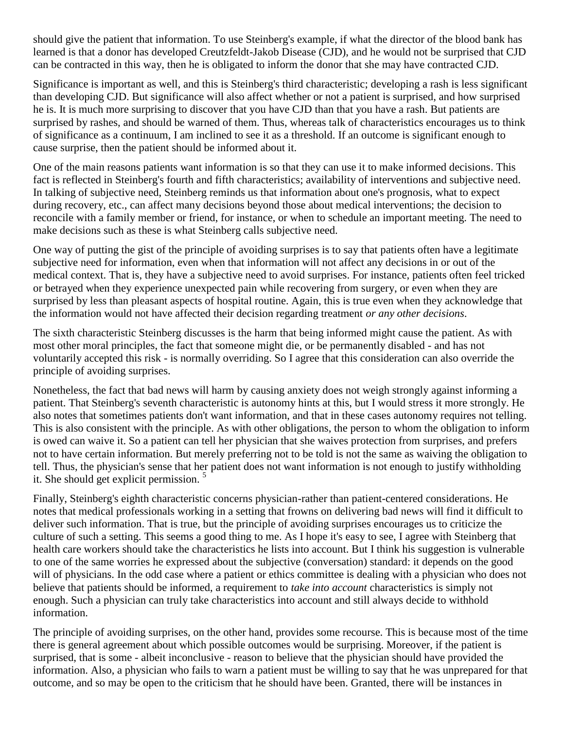should give the patient that information. To use Steinberg's example, if what the director of the blood bank has learned is that a donor has developed Creutzfeldt-Jakob Disease (CJD), and he would not be surprised that CJD can be contracted in this way, then he is obligated to inform the donor that she may have contracted CJD.

Significance is important as well, and this is Steinberg's third characteristic; developing a rash is less significant than developing CJD. But significance will also affect whether or not a patient is surprised, and how surprised he is. It is much more surprising to discover that you have CJD than that you have a rash. But patients are surprised by rashes, and should be warned of them. Thus, whereas talk of characteristics encourages us to think of significance as a continuum, I am inclined to see it as a threshold. If an outcome is significant enough to cause surprise, then the patient should be informed about it.

One of the main reasons patients want information is so that they can use it to make informed decisions. This fact is reflected in Steinberg's fourth and fifth characteristics; availability of interventions and subjective need. In talking of subjective need, Steinberg reminds us that information about one's prognosis, what to expect during recovery, etc., can affect many decisions beyond those about medical interventions; the decision to reconcile with a family member or friend, for instance, or when to schedule an important meeting. The need to make decisions such as these is what Steinberg calls subjective need.

One way of putting the gist of the principle of avoiding surprises is to say that patients often have a legitimate subjective need for information, even when that information will not affect any decisions in or out of the medical context. That is, they have a subjective need to avoid surprises. For instance, patients often feel tricked or betrayed when they experience unexpected pain while recovering from surgery, or even when they are surprised by less than pleasant aspects of hospital routine. Again, this is true even when they acknowledge that the information would not have affected their decision regarding treatment *or any other decisions*.

The sixth characteristic Steinberg discusses is the harm that being informed might cause the patient. As with most other moral principles, the fact that someone might die, or be permanently disabled - and has not voluntarily accepted this risk - is normally overriding. So I agree that this consideration can also override the principle of avoiding surprises.

Nonetheless, the fact that bad news will harm by causing anxiety does not weigh strongly against informing a patient. That Steinberg's seventh characteristic is autonomy hints at this, but I would stress it more strongly. He also notes that sometimes patients don't want information, and that in these cases autonomy requires not telling. This is also consistent with the principle. As with other obligations, the person to whom the obligation to inform is owed can waive it. So a patient can tell her physician that she waives protection from surprises, and prefers not to have certain information. But merely preferring not to be told is not the same as waiving the obligation to tell. Thus, the physician's sense that her patient does not want information is not enough to justify withholding it. She should get explicit permission. <sup>5</sup>

Finally, Steinberg's eighth characteristic concerns physician-rather than patient-centered considerations. He notes that medical professionals working in a setting that frowns on delivering bad news will find it difficult to deliver such information. That is true, but the principle of avoiding surprises encourages us to criticize the culture of such a setting. This seems a good thing to me. As I hope it's easy to see, I agree with Steinberg that health care workers should take the characteristics he lists into account. But I think his suggestion is vulnerable to one of the same worries he expressed about the subjective (conversation) standard: it depends on the good will of physicians. In the odd case where a patient or ethics committee is dealing with a physician who does not believe that patients should be informed, a requirement to *take into account* characteristics is simply not enough. Such a physician can truly take characteristics into account and still always decide to withhold information.

The principle of avoiding surprises, on the other hand, provides some recourse. This is because most of the time there is general agreement about which possible outcomes would be surprising. Moreover, if the patient is surprised, that is some - albeit inconclusive - reason to believe that the physician should have provided the information. Also, a physician who fails to warn a patient must be willing to say that he was unprepared for that outcome, and so may be open to the criticism that he should have been. Granted, there will be instances in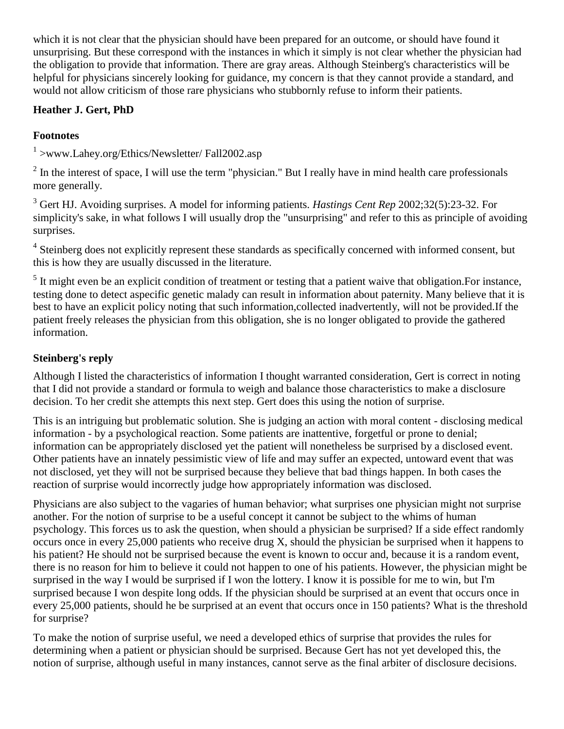which it is not clear that the physician should have been prepared for an outcome, or should have found it unsurprising. But these correspond with the instances in which it simply is not clear whether the physician had the obligation to provide that information. There are gray areas. Although Steinberg's characteristics will be helpful for physicians sincerely looking for guidance, my concern is that they cannot provide a standard, and would not allow criticism of those rare physicians who stubbornly refuse to inform their patients.

## **Heather J. Gert, PhD**

# **Footnotes**

1 >www.Lahey.org/Ethics/Newsletter/ Fall2002.asp

 $2$  In the interest of space, I will use the term "physician." But I really have in mind health care professionals more generally.

<sup>3</sup> Gert HJ. Avoiding surprises. A model for informing patients. *Hastings Cent Rep* 2002;32(5):23-32. For simplicity's sake, in what follows I will usually drop the "unsurprising" and refer to this as principle of avoiding surprises.

<sup>4</sup> Steinberg does not explicitly represent these standards as specifically concerned with informed consent, but this is how they are usually discussed in the literature.

 $<sup>5</sup>$  It might even be an explicit condition of treatment or testing that a patient waive that obligation. For instance,</sup> testing done to detect aspecific genetic malady can result in information about paternity. Many believe that it is best to have an explicit policy noting that such information,collected inadvertently, will not be provided.If the patient freely releases the physician from this obligation, she is no longer obligated to provide the gathered information.

## **Steinberg's reply**

Although I listed the characteristics of information I thought warranted consideration, Gert is correct in noting that I did not provide a standard or formula to weigh and balance those characteristics to make a disclosure decision. To her credit she attempts this next step. Gert does this using the notion of surprise.

This is an intriguing but problematic solution. She is judging an action with moral content - disclosing medical information - by a psychological reaction. Some patients are inattentive, forgetful or prone to denial; information can be appropriately disclosed yet the patient will nonetheless be surprised by a disclosed event. Other patients have an innately pessimistic view of life and may suffer an expected, untoward event that was not disclosed, yet they will not be surprised because they believe that bad things happen. In both cases the reaction of surprise would incorrectly judge how appropriately information was disclosed.

Physicians are also subject to the vagaries of human behavior; what surprises one physician might not surprise another. For the notion of surprise to be a useful concept it cannot be subject to the whims of human psychology. This forces us to ask the question, when should a physician be surprised? If a side effect randomly occurs once in every 25,000 patients who receive drug X, should the physician be surprised when it happens to his patient? He should not be surprised because the event is known to occur and, because it is a random event, there is no reason for him to believe it could not happen to one of his patients. However, the physician might be surprised in the way I would be surprised if I won the lottery. I know it is possible for me to win, but I'm surprised because I won despite long odds. If the physician should be surprised at an event that occurs once in every 25,000 patients, should he be surprised at an event that occurs once in 150 patients? What is the threshold for surprise?

To make the notion of surprise useful, we need a developed ethics of surprise that provides the rules for determining when a patient or physician should be surprised. Because Gert has not yet developed this, the notion of surprise, although useful in many instances, cannot serve as the final arbiter of disclosure decisions.